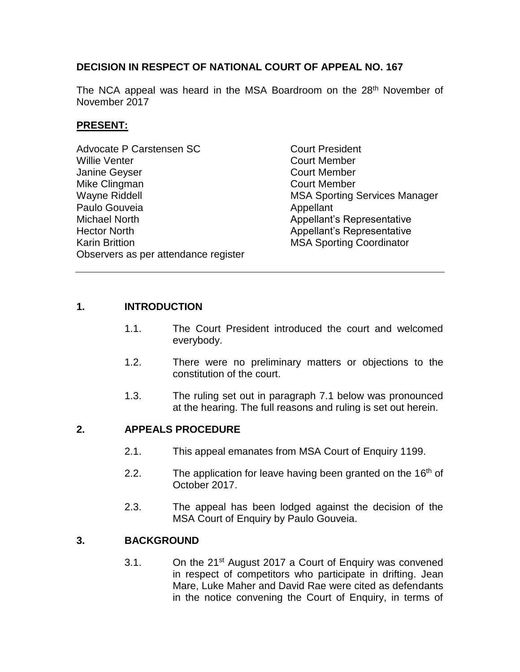# **DECISION IN RESPECT OF NATIONAL COURT OF APPEAL NO. 167**

The NCA appeal was heard in the MSA Boardroom on the 28<sup>th</sup> November of November 2017

# **PRESENT:**

| <b>Advocate P Carstensen SC</b>      | <b>Court President</b>               |
|--------------------------------------|--------------------------------------|
| Willie Venter                        | <b>Court Member</b>                  |
| Janine Geyser                        | <b>Court Member</b>                  |
| Mike Clingman                        | <b>Court Member</b>                  |
| Wayne Riddell                        | <b>MSA Sporting Services Manager</b> |
| Paulo Gouveia                        | Appellant                            |
| Michael North                        | Appellant's Representative           |
| <b>Hector North</b>                  | <b>Appellant's Representative</b>    |
| <b>Karin Brittion</b>                | <b>MSA Sporting Coordinator</b>      |
| Observers as per attendance register |                                      |

### **1. INTRODUCTION**

- 1.1. The Court President introduced the court and welcomed everybody.
- 1.2. There were no preliminary matters or objections to the constitution of the court.
- 1.3. The ruling set out in paragraph 7.1 below was pronounced at the hearing. The full reasons and ruling is set out herein.

### **2. APPEALS PROCEDURE**

- 2.1. This appeal emanates from MSA Court of Enquiry 1199.
- 2.2. The application for leave having been granted on the  $16<sup>th</sup>$  of October 2017.
- 2.3. The appeal has been lodged against the decision of the MSA Court of Enquiry by Paulo Gouveia.

### **3. BACKGROUND**

3.1. On the  $21^{st}$  August 2017 a Court of Enquiry was convened in respect of competitors who participate in drifting. Jean Mare, Luke Maher and David Rae were cited as defendants in the notice convening the Court of Enquiry, in terms of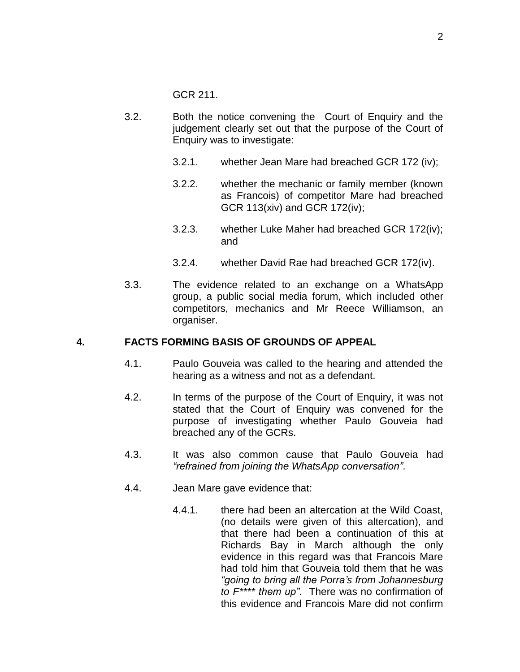GCR 211.

- 3.2. Both the notice convening the Court of Enquiry and the judgement clearly set out that the purpose of the Court of Enquiry was to investigate:
	- 3.2.1. whether Jean Mare had breached GCR 172 (iv);
	- 3.2.2. whether the mechanic or family member (known as Francois) of competitor Mare had breached GCR 113(xiv) and GCR 172(iv);
	- 3.2.3. whether Luke Maher had breached GCR 172(iv); and
	- 3.2.4. whether David Rae had breached GCR 172(iv).
- 3.3. The evidence related to an exchange on a WhatsApp group, a public social media forum, which included other competitors, mechanics and Mr Reece Williamson, an organiser.

#### **4. FACTS FORMING BASIS OF GROUNDS OF APPEAL**

- 4.1. Paulo Gouveia was called to the hearing and attended the hearing as a witness and not as a defendant.
- 4.2. In terms of the purpose of the Court of Enquiry, it was not stated that the Court of Enquiry was convened for the purpose of investigating whether Paulo Gouveia had breached any of the GCRs.
- 4.3. It was also common cause that Paulo Gouveia had *"refrained from joining the WhatsApp conversation"*.
- 4.4. Jean Mare gave evidence that:
	- 4.4.1. there had been an altercation at the Wild Coast, (no details were given of this altercation), and that there had been a continuation of this at Richards Bay in March although the only evidence in this regard was that Francois Mare had told him that Gouveia told them that he was *"going to bring all the Porra's from Johannesburg to F\*\*\*\* them up"*. There was no confirmation of this evidence and Francois Mare did not confirm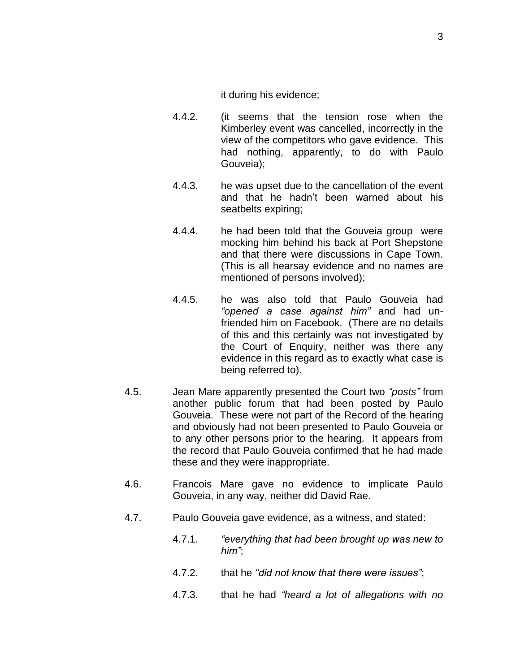it during his evidence;

- 4.4.2. (it seems that the tension rose when the Kimberley event was cancelled, incorrectly in the view of the competitors who gave evidence. This had nothing, apparently, to do with Paulo Gouveia);
- 4.4.3. he was upset due to the cancellation of the event and that he hadn't been warned about his seatbelts expiring;
- 4.4.4. he had been told that the Gouveia group were mocking him behind his back at Port Shepstone and that there were discussions in Cape Town. (This is all hearsay evidence and no names are mentioned of persons involved);
- 4.4.5. he was also told that Paulo Gouveia had *"opened a case against him"* and had unfriended him on Facebook. (There are no details of this and this certainly was not investigated by the Court of Enquiry, neither was there any evidence in this regard as to exactly what case is being referred to).
- 4.5. Jean Mare apparently presented the Court two *"posts"* from another public forum that had been posted by Paulo Gouveia. These were not part of the Record of the hearing and obviously had not been presented to Paulo Gouveia or to any other persons prior to the hearing. It appears from the record that Paulo Gouveia confirmed that he had made these and they were inappropriate.
- 4.6. Francois Mare gave no evidence to implicate Paulo Gouveia, in any way, neither did David Rae.
- 4.7. Paulo Gouveia gave evidence, as a witness, and stated:
	- 4.7.1. *"everything that had been brought up was new to him"*;
	- 4.7.2. that he *"did not know that there were issues"*;
	- 4.7.3. that he had *"heard a lot of allegations with no*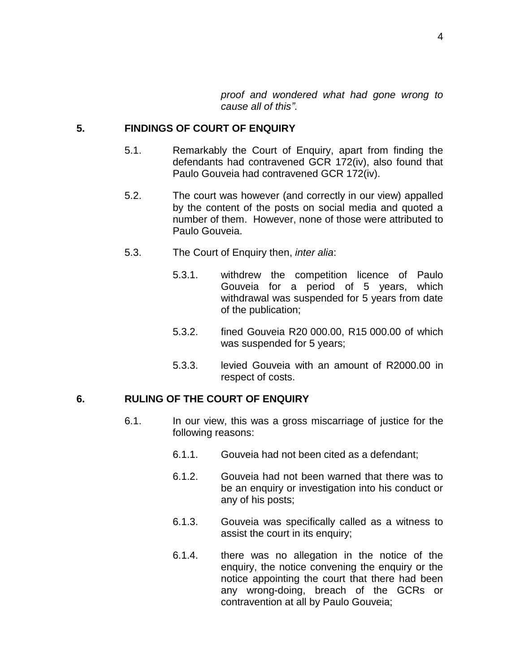*proof and wondered what had gone wrong to cause all of this"*.

#### **5. FINDINGS OF COURT OF ENQUIRY**

- 5.1. Remarkably the Court of Enquiry, apart from finding the defendants had contravened GCR 172(iv), also found that Paulo Gouveia had contravened GCR 172(iv).
- 5.2. The court was however (and correctly in our view) appalled by the content of the posts on social media and quoted a number of them. However, none of those were attributed to Paulo Gouveia.
- 5.3. The Court of Enquiry then, *inter alia*:
	- 5.3.1. withdrew the competition licence of Paulo Gouveia for a period of 5 years, which withdrawal was suspended for 5 years from date of the publication;
	- 5.3.2. fined Gouveia R20 000.00, R15 000.00 of which was suspended for 5 years;
	- 5.3.3. levied Gouveia with an amount of R2000.00 in respect of costs.

# **6. RULING OF THE COURT OF ENQUIRY**

- 6.1. In our view, this was a gross miscarriage of justice for the following reasons:
	- 6.1.1. Gouveia had not been cited as a defendant;
	- 6.1.2. Gouveia had not been warned that there was to be an enquiry or investigation into his conduct or any of his posts;
	- 6.1.3. Gouveia was specifically called as a witness to assist the court in its enquiry;
	- 6.1.4. there was no allegation in the notice of the enquiry, the notice convening the enquiry or the notice appointing the court that there had been any wrong-doing, breach of the GCRs or contravention at all by Paulo Gouveia;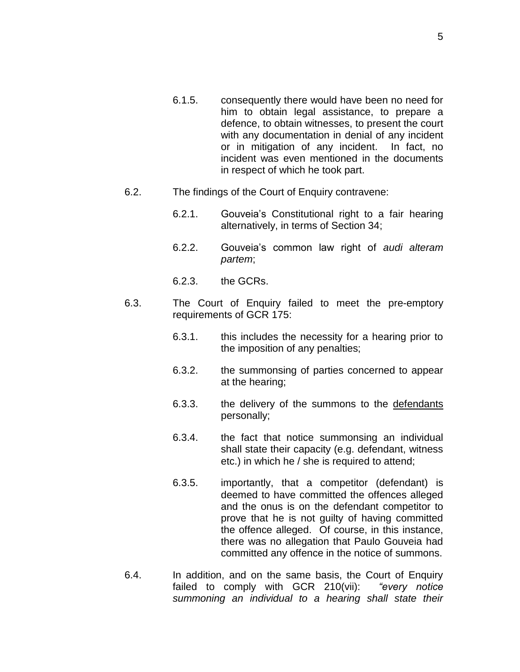- 6.1.5. consequently there would have been no need for him to obtain legal assistance, to prepare a defence, to obtain witnesses, to present the court with any documentation in denial of any incident or in mitigation of any incident. In fact, no incident was even mentioned in the documents in respect of which he took part.
- 6.2. The findings of the Court of Enquiry contravene:
	- 6.2.1. Gouveia's Constitutional right to a fair hearing alternatively, in terms of Section 34;
	- 6.2.2. Gouveia's common law right of *audi alteram partem*;
	- 6.2.3. the GCRs.
- 6.3. The Court of Enquiry failed to meet the pre-emptory requirements of GCR 175:
	- 6.3.1. this includes the necessity for a hearing prior to the imposition of any penalties;
	- 6.3.2. the summonsing of parties concerned to appear at the hearing;
	- 6.3.3. the delivery of the summons to the defendants personally;
	- 6.3.4. the fact that notice summonsing an individual shall state their capacity (e.g. defendant, witness etc.) in which he / she is required to attend;
	- 6.3.5. importantly, that a competitor (defendant) is deemed to have committed the offences alleged and the onus is on the defendant competitor to prove that he is not guilty of having committed the offence alleged. Of course, in this instance, there was no allegation that Paulo Gouveia had committed any offence in the notice of summons.
- 6.4. In addition, and on the same basis, the Court of Enquiry failed to comply with GCR 210(vii): *"every notice summoning an individual to a hearing shall state their*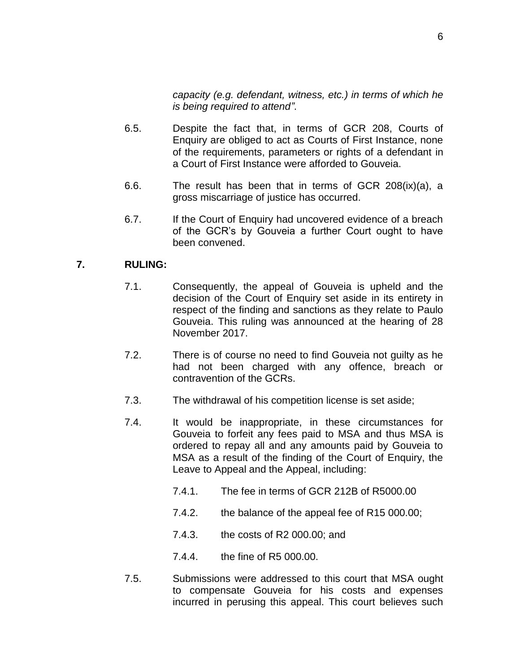*capacity (e.g. defendant, witness, etc.) in terms of which he is being required to attend"*.

- 6.5. Despite the fact that, in terms of GCR 208, Courts of Enquiry are obliged to act as Courts of First Instance, none of the requirements, parameters or rights of a defendant in a Court of First Instance were afforded to Gouveia.
- 6.6. The result has been that in terms of GCR 208(ix)(a), a gross miscarriage of justice has occurred.
- 6.7. If the Court of Enquiry had uncovered evidence of a breach of the GCR's by Gouveia a further Court ought to have been convened.

### **7. RULING:**

- 7.1. Consequently, the appeal of Gouveia is upheld and the decision of the Court of Enquiry set aside in its entirety in respect of the finding and sanctions as they relate to Paulo Gouveia. This ruling was announced at the hearing of 28 November 2017.
- 7.2. There is of course no need to find Gouveia not guilty as he had not been charged with any offence, breach or contravention of the GCRs.
- 7.3. The withdrawal of his competition license is set aside;
- 7.4. It would be inappropriate, in these circumstances for Gouveia to forfeit any fees paid to MSA and thus MSA is ordered to repay all and any amounts paid by Gouveia to MSA as a result of the finding of the Court of Enquiry, the Leave to Appeal and the Appeal, including:
	- 7.4.1. The fee in terms of GCR 212B of R5000.00
	- 7.4.2. the balance of the appeal fee of R15 000.00;
	- 7.4.3. the costs of R2 000.00; and
	- 7.4.4. the fine of R5 000.00.
- 7.5. Submissions were addressed to this court that MSA ought to compensate Gouveia for his costs and expenses incurred in perusing this appeal. This court believes such